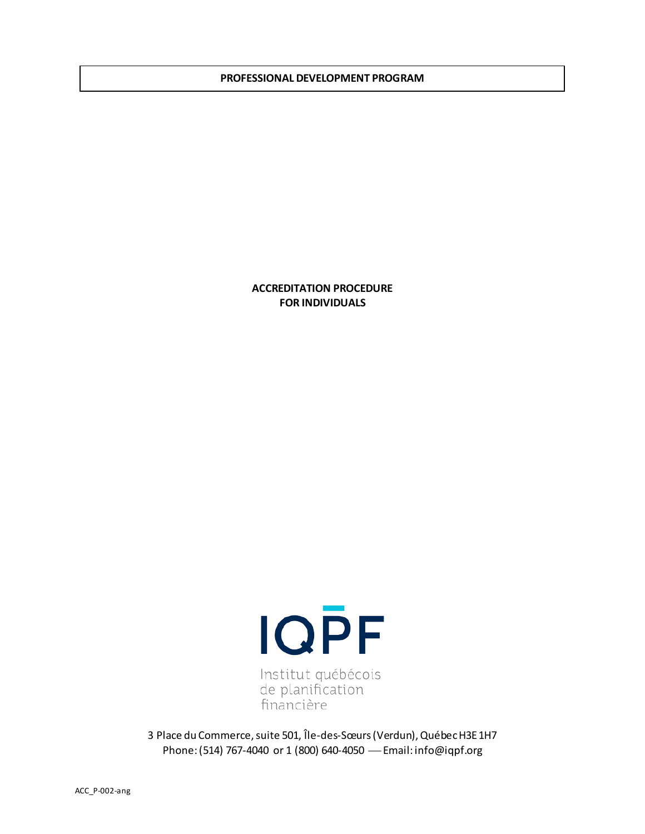#### **PROFESSIONAL DEVELOPMENT PROGRAM**

**ACCREDITATION PROCEDURE FOR INDIVIDUALS**



3 Place du Commerce, suite 501, Île-des-Sœurs (Verdun), Québec H3E 1H7 Phone: (514) 767-4040 or 1 (800) 640-4050 Email: info@iqpf.org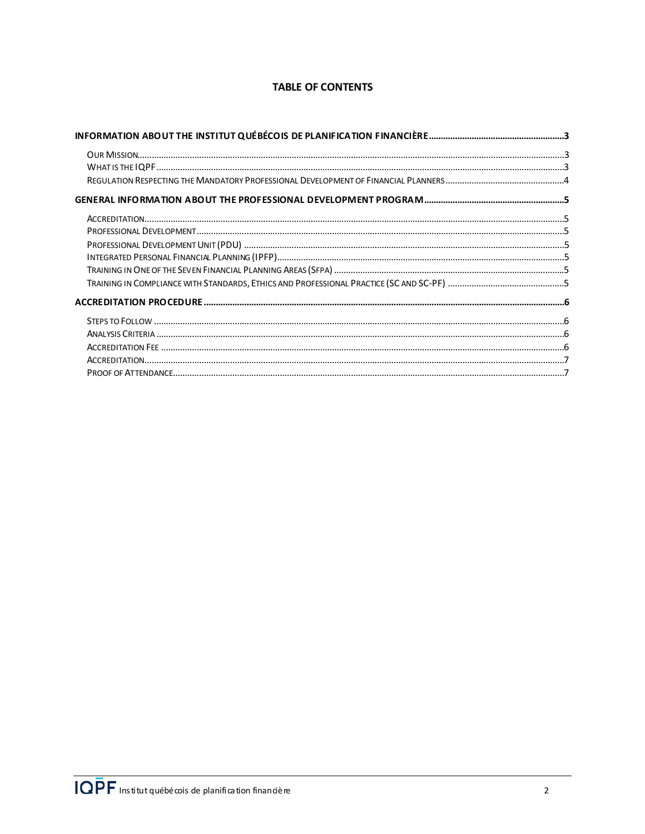# **TABLE OF CONTENTS**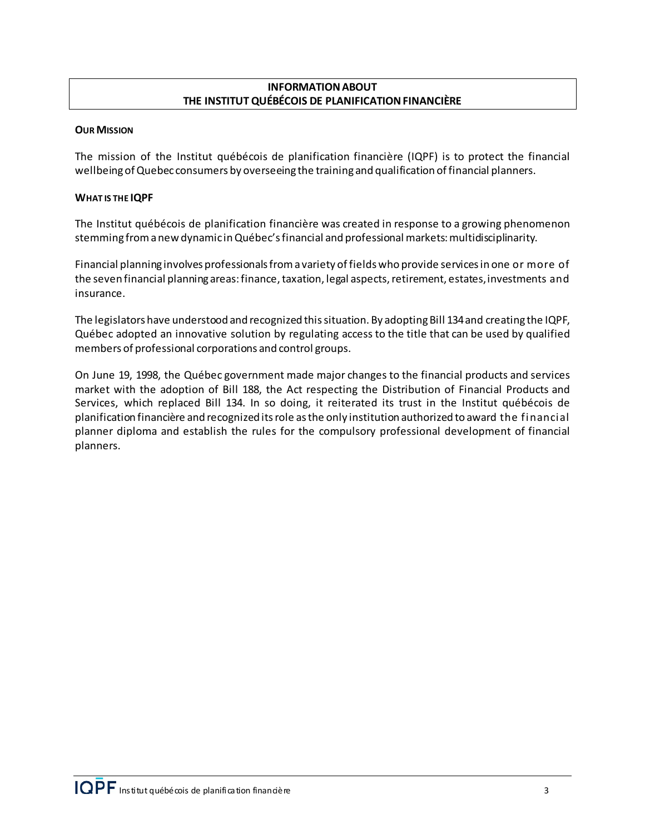# **INFORMATION ABOUT THE INSTITUT QUÉBÉCOIS DE PLANIFICATION FINANCIÈRE**

### <span id="page-2-1"></span><span id="page-2-0"></span>**OUR MISSION**

The mission of the Institut québécois de planification financière (IQPF) is to protect the financial wellbeing of Quebec consumers by overseeing the training and qualification of financial planners.

### <span id="page-2-2"></span>**WHAT IS THE IQPF**

The Institut québécois de planification financière was created in response to a growing phenomenon stemming from a new dynamic in Québec's financial and professional markets: multidisciplinarity.

Financial planning involves professionals from a variety of fields who provide services in one or more of the seven financial planning areas: finance, taxation, legal aspects, retirement, estates, investments and insurance.

The legislators have understood and recognized this situation. By adopting Bill 134 and creating the IQPF, Québec adopted an innovative solution by regulating access to the title that can be used by qualified members of professional corporations and control groups.

On June 19, 1998, the Québec government made major changes to the financial products and services market with the adoption of Bill 188, the Act respecting the Distribution of Financial Products and Services, which replaced Bill 134. In so doing, it reiterated its trust in the Institut québécois de planification financière and recognized its role as the only institution authorized to award the financial planner diploma and establish the rules for the compulsory professional development of financial planners.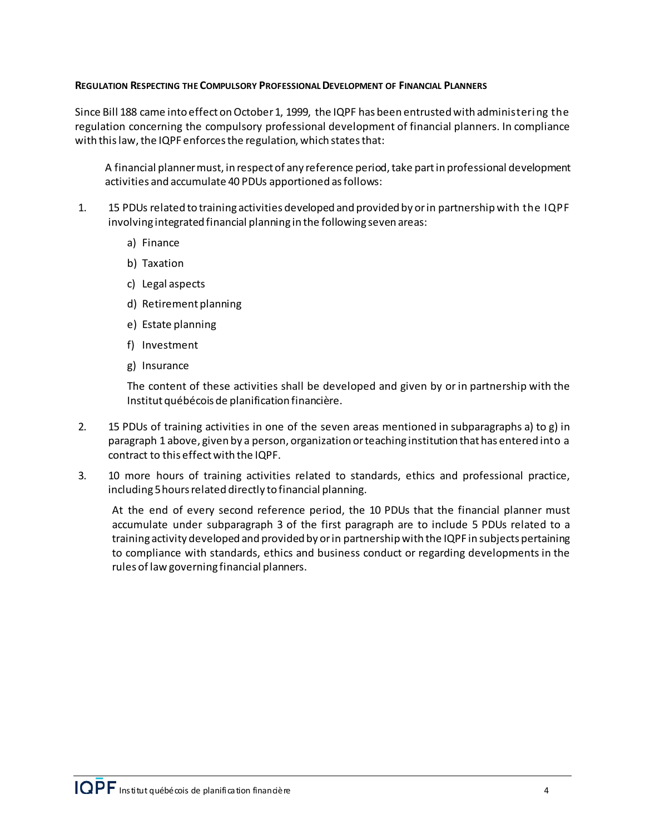### <span id="page-3-0"></span>**REGULATION RESPECTING THE COMPULSORY PROFESSIONAL DEVELOPMENT OF FINANCIAL PLANNERS**

Since Bill 188 came into effect on October 1, 1999, the IQPF has been entrusted with administering the regulation concerning the compulsory professional development of financial planners. In compliance with this law, the IQPF enforces the regulation, which states that:

A financial planner must, in respect of any reference period, take part in professional development activities and accumulate 40 PDUs apportioned as follows:

- 1. 15 PDUs related to training activities developed and provided by or in partnership with the IQPF involving integrated financial planning in the following seven areas:
	- a) Finance
	- b) Taxation
	- c) Legal aspects
	- d) Retirement planning
	- e) Estate planning
	- f) Investment
	- g) Insurance

The content of these activities shall be developed and given by or in partnership with the Institut québécois de planification financière.

- 2. 15 PDUs of training activities in one of the seven areas mentioned in subparagraphs a) to g) in paragraph 1 above, given by a person, organization or teaching institution that has entered into a contract to this effect with the IQPF.
- 3. 10 more hours of training activities related to standards, ethics and professional practice, including 5 hours related directly to financial planning.

At the end of every second reference period, the 10 PDUs that the financial planner must accumulate under subparagraph 3 of the first paragraph are to include 5 PDUs related to a training activity developed and provided by or in partnership with the IQPF in subjects pertaining to compliance with standards, ethics and business conduct or regarding developments in the rules of law governing financial planners.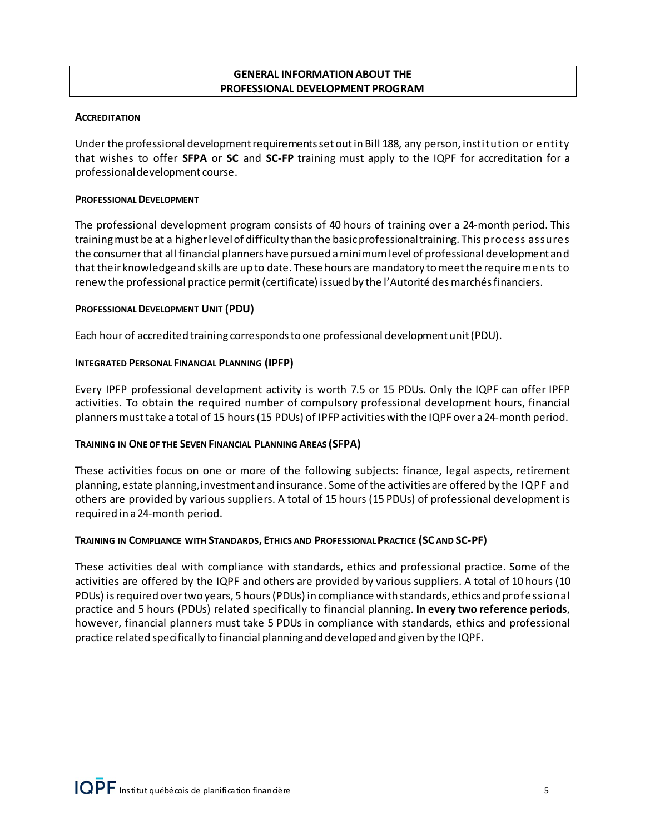### **GENERAL INFORMATION ABOUT THE PROFESSIONAL DEVELOPMENT PROGRAM**

### <span id="page-4-1"></span><span id="page-4-0"></span>**ACCREDITATION**

Under the professional development requirements set out in Bill 188, any person, institution or entity that wishes to offer **SFPA** or **SC** and **SC‐FP** training must apply to the IQPF for accreditation for a professional development course.

### <span id="page-4-2"></span>**PROFESSIONAL DEVELOPMENT**

The professional development program consists of 40 hours of training over a 24-month period. This trainingmust be at a higherlevelof difficulty than the basicprofessionaltraining. This process assures the consumerthat all financial planners have pursued a minimumlevel of professional development and that their knowledgeand skills are up to date. These hours are mandatory to meet the requirements to renew the professional practice permit (certificate) issued by the l'Autorité des marchés financiers.

### <span id="page-4-3"></span>**PROFESSIONAL DEVELOPMENT UNIT (PDU)**

Each hour of accredited training correspondsto one professional development unit(PDU).

# <span id="page-4-4"></span>**INTEGRATED PERSONAL FINANCIAL PLANNING (IPFP)**

Every IPFP professional development activity is worth 7.5 or 15 PDUs. Only the IQPF can offer IPFP activities. To obtain the required number of compulsory professional development hours, financial plannersmusttake a total of 15 hours(15 PDUs) of IPFP activitieswith the IQPF over a 24-month period.

# <span id="page-4-5"></span>**TRAINING IN ONE OF THE SEVEN FINANCIAL PLANNING AREAS (SFPA)**

These activities focus on one or more of the following subjects: finance, legal aspects, retirement planning, estate planning, investment and insurance. Some of the activities are offered by the IQPF and others are provided by various suppliers. A total of 15 hours (15 PDUs) of professional development is required in a 24-month period.

### <span id="page-4-6"></span>**TRAINING IN COMPLIANCE WITH STANDARDS, ETHICS AND PROFESSIONAL PRACTICE (SC AND SC-PF)**

These activities deal with compliance with standards, ethics and professional practice. Some of the activities are offered by the IQPF and others are provided by various suppliers. A total of 10 hours (10 PDUs) is required over two years, 5 hours (PDUs) in compliance with standards, ethics and professional practice and 5 hours (PDUs) related specifically to financial planning. **In every two reference periods**, however, financial planners must take 5 PDUs in compliance with standards, ethics and professional practice related specifically to financial planning and developed and given by the IQPF.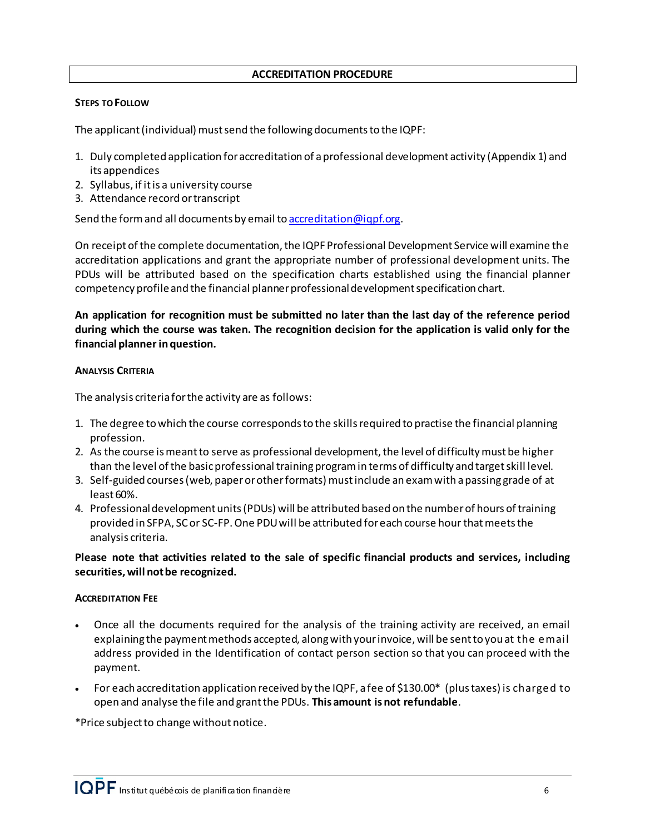#### **ACCREDITATION PROCEDURE**

### <span id="page-5-1"></span><span id="page-5-0"></span>**STEPS TO FOLLOW**

The applicant(individual) must send the following documents to the IQPF:

- 1. Duly completed application foraccreditation of a professional development activity (Appendix 1) and its appendices
- 2. Syllabus, if it is a university course
- 3. Attendance record or transcript

Send the form and all documents by email t[o accreditation@iqpf.org](mailto:accreditation@iqpf.org).

On receipt of the complete documentation, the IQPF Professional Development Service will examine the accreditation applications and grant the appropriate number of professional development units. The PDUs will be attributed based on the specification charts established using the financial planner competency profile and the financial planner professional development specification chart.

**An application for recognition must be submitted no later than the last day of the reference period during which the course was taken. The recognition decision for the application is valid only for the financial planner in question.**

### <span id="page-5-2"></span>**ANALYSIS CRITERIA**

The analysis criteria forthe activity are as follows:

- 1. The degree to which the course corresponds to the skills required to practise the financial planning profession.
- 2. As the course is meant to serve as professional development, the level of difficulty must be higher than the level of the basic professional training program in terms of difficulty and target skill level.
- 3. Self-guided courses (web, paper or other formats) must include an exam with a passing grade of at least 60%.
- 4. Professional development units (PDUs) will be attributed based on the number of hours of training provided in SFPA, SC or SC-FP. One PDU will be attributed for each course hour that meets the analysis criteria.

**Please note that activities related to the sale of specific financial products and services, including securities, will not be recognized.**

### <span id="page-5-3"></span>**ACCREDITATION FEE**

- Once all the documents required for the analysis of the training activity are received, an email explaining the payment methods accepted, along with your invoice, will be sent to you at the email address provided in the Identification of contact person section so that you can proceed with the payment.
- For each accreditation application received by the IQPF, a fee of \$130.00\* (plus taxes) is charged to open and analyse the file and grant the PDUs. **This amount is not refundable**.

\*Price subject to change without notice.